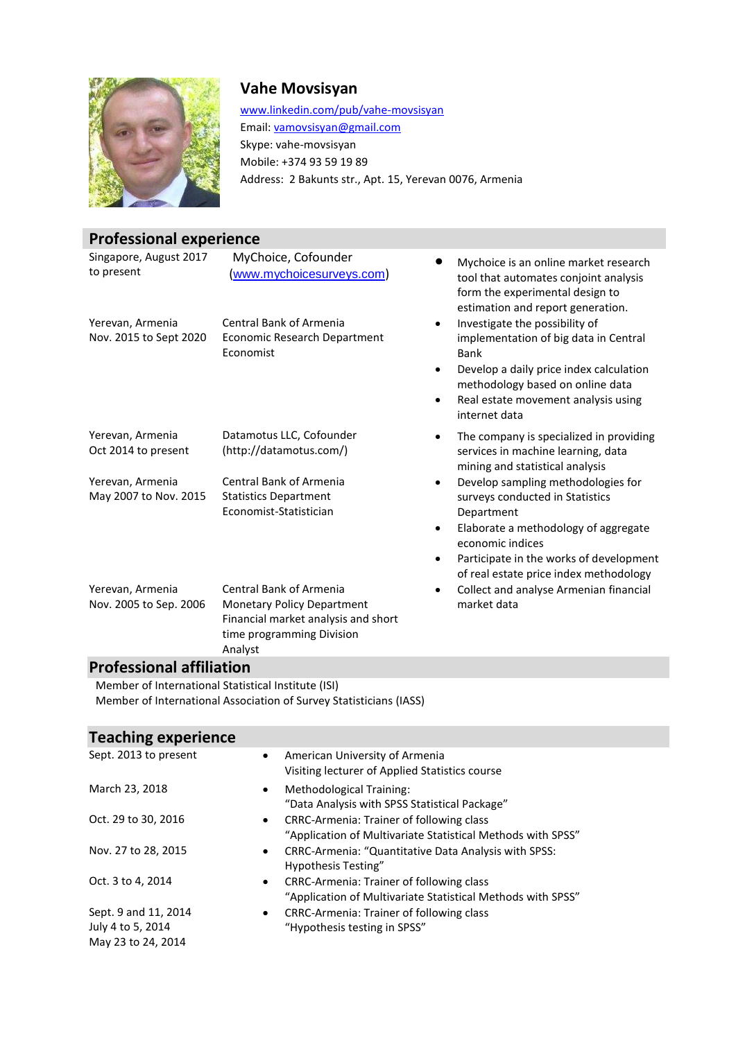

### **Vahe Movsisyan**

[www.linkedin.com/pub/vahe-movsisyan](http://www.linkedin.com/pub/vahe-movsisyan) Email[: vamovsisyan@gmail.com](mailto:vamovsisyan@gmail.com) Skype: vahe-movsisyan Mobile: +374 93 59 19 89 Address: 2 Bakunts str., Apt. 15, Yerevan 0076, Armenia

## **Professional experience**

| Singapore, August 2017<br>to present       | MyChoice, Cofounder<br>(www.mychoicesurveys.com)                                                                                                   | Mychoice is an online market research<br>tool that automates conjoint analysis<br>form the experimental design to<br>estimation and report generation.                                                                                                                      |
|--------------------------------------------|----------------------------------------------------------------------------------------------------------------------------------------------------|-----------------------------------------------------------------------------------------------------------------------------------------------------------------------------------------------------------------------------------------------------------------------------|
| Yerevan, Armenia<br>Nov. 2015 to Sept 2020 | <b>Central Bank of Armenia</b><br>Economic Research Department<br>Economist                                                                        | Investigate the possibility of<br>$\bullet$<br>implementation of big data in Central<br>Bank<br>Develop a daily price index calculation<br>$\bullet$<br>methodology based on online data<br>Real estate movement analysis using<br>$\bullet$<br>internet data               |
| Yerevan, Armenia<br>Oct 2014 to present    | Datamotus LLC, Cofounder<br>(http://datamotus.com/)                                                                                                | The company is specialized in providing<br>$\bullet$<br>services in machine learning, data<br>mining and statistical analysis                                                                                                                                               |
| Yerevan, Armenia<br>May 2007 to Nov. 2015  | <b>Central Bank of Armenia</b><br><b>Statistics Department</b><br>Economist-Statistician                                                           | Develop sampling methodologies for<br>$\bullet$<br>surveys conducted in Statistics<br>Department<br>Elaborate a methodology of aggregate<br>$\bullet$<br>economic indices<br>Participate in the works of development<br>$\bullet$<br>of real estate price index methodology |
| Yerevan, Armenia<br>Nov. 2005 to Sep. 2006 | <b>Central Bank of Armenia</b><br><b>Monetary Policy Department</b><br>Financial market analysis and short<br>time programming Division<br>Analyst | Collect and analyse Armenian financial<br>$\bullet$<br>market data                                                                                                                                                                                                          |

### **Professional affiliation**

Member of International Statistical Institute (ISI) Member o[f International Association of](http://isi-iass.org/) Survey Statisticians (IASS)

# **Teaching experience**

| Sept. 2013 to present                                           | American University of Armenia<br>$\bullet$<br>Visiting lecturer of Applied Statistics course                               |
|-----------------------------------------------------------------|-----------------------------------------------------------------------------------------------------------------------------|
| March 23, 2018                                                  | Methodological Training:<br>$\bullet$<br>"Data Analysis with SPSS Statistical Package"                                      |
| Oct. 29 to 30, 2016                                             | <b>CRRC-Armenia: Trainer of following class</b><br>$\bullet$<br>"Application of Multivariate Statistical Methods with SPSS" |
| Nov. 27 to 28, 2015                                             | CRRC-Armenia: "Quantitative Data Analysis with SPSS:<br>$\bullet$<br>Hypothesis Testing"                                    |
| Oct. 3 to 4, 2014                                               | CRRC-Armenia: Trainer of following class<br>$\bullet$<br>"Application of Multivariate Statistical Methods with SPSS"        |
| Sept. 9 and 11, 2014<br>July 4 to 5, 2014<br>May 23 to 24, 2014 | CRRC-Armenia: Trainer of following class<br>$\bullet$<br>"Hypothesis testing in SPSS"                                       |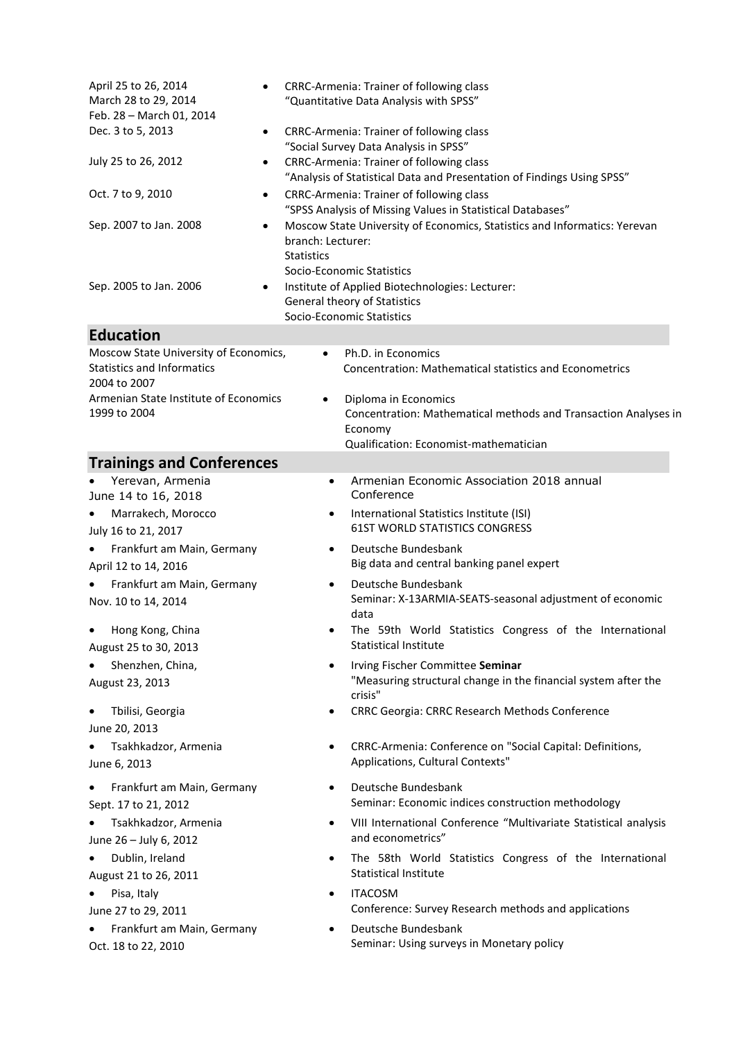| April 25 to 26, 2014<br>March 28 to 29, 2014<br>Feb. 28 - March 01, 2014<br>Dec. 3 to 5, 2013<br>$\bullet$ |                                                                                                                                                                                                                                     | CRRC-Armenia: Trainer of following class<br>"Quantitative Data Analysis with SPSS"                                                           |
|------------------------------------------------------------------------------------------------------------|-------------------------------------------------------------------------------------------------------------------------------------------------------------------------------------------------------------------------------------|----------------------------------------------------------------------------------------------------------------------------------------------|
|                                                                                                            | CRRC-Armenia: Trainer of following class<br>"Social Survey Data Analysis in SPSS"                                                                                                                                                   |                                                                                                                                              |
| July 25 to 26, 2012<br>$\bullet$                                                                           | CRRC-Armenia: Trainer of following class<br>"Analysis of Statistical Data and Presentation of Findings Using SPSS"                                                                                                                  |                                                                                                                                              |
| Oct. 7 to 9, 2010                                                                                          | CRRC-Armenia: Trainer of following class<br>"SPSS Analysis of Missing Values in Statistical Databases"                                                                                                                              |                                                                                                                                              |
| Sep. 2007 to Jan. 2008<br>$\bullet$<br>Sep. 2005 to Jan. 2006<br>$\bullet$                                 | Moscow State University of Economics, Statistics and Informatics: Yerevan<br>branch: Lecturer:<br><b>Statistics</b><br>Socio-Economic Statistics<br>Institute of Applied Biotechnologies: Lecturer:<br>General theory of Statistics |                                                                                                                                              |
|                                                                                                            |                                                                                                                                                                                                                                     | Socio-Economic Statistics                                                                                                                    |
| <b>Education</b>                                                                                           |                                                                                                                                                                                                                                     |                                                                                                                                              |
| Moscow State University of Economics,<br><b>Statistics and Informatics</b><br>2004 to 2007                 | $\bullet$                                                                                                                                                                                                                           | Ph.D. in Economics<br><b>Concentration: Mathematical statistics and Econometrics</b>                                                         |
| Armenian State Institute of Economics<br>1999 to 2004                                                      |                                                                                                                                                                                                                                     | Diploma in Economics<br>Concentration: Mathematical methods and Transaction Analyses in<br>Economy<br>Qualification: Economist-mathematician |
| <b>Trainings and Conferences</b>                                                                           |                                                                                                                                                                                                                                     |                                                                                                                                              |
| Yerevan, Armenia                                                                                           | $\bullet$                                                                                                                                                                                                                           | Armenian Economic Association 2018 annual                                                                                                    |
| June 14 to 16, 2018                                                                                        |                                                                                                                                                                                                                                     | Conference                                                                                                                                   |
| Marrakech, Morocco<br>July 16 to 21, 2017                                                                  | ٠                                                                                                                                                                                                                                   | International Statistics Institute (ISI)<br><b>61ST WORLD STATISTICS CONGRESS</b>                                                            |
| Frankfurt am Main, Germany<br>April 12 to 14, 2016                                                         | ٠                                                                                                                                                                                                                                   | Deutsche Bundesbank<br>Big data and central banking panel expert                                                                             |
| Frankfurt am Main, Germany<br>$\bullet$<br>Nov. 10 to 14, 2014                                             | ٠                                                                                                                                                                                                                                   | Deutsche Bundesbank<br>Seminar: X-13ARMIA-SEATS-seasonal adjustment of economic<br>data                                                      |
| Hong Kong, China<br>August 25 to 30, 2013                                                                  |                                                                                                                                                                                                                                     | The 59th World Statistics Congress of the International<br>Statistical Institute                                                             |
| Shenzhen, China,<br>$\bullet$<br>August 23, 2013                                                           | $\bullet$                                                                                                                                                                                                                           | Irving Fischer Committee Seminar<br>"Measuring structural change in the financial system after the<br>crisis"                                |
| Tbilisi, Georgia<br>$\bullet$<br>June 20, 2013                                                             | $\bullet$                                                                                                                                                                                                                           | CRRC Georgia: CRRC Research Methods Conference                                                                                               |
| Tsakhkadzor, Armenia<br>$\bullet$<br>June 6, 2013                                                          | $\bullet$                                                                                                                                                                                                                           | CRRC-Armenia: Conference on "Social Capital: Definitions,<br>Applications, Cultural Contexts"                                                |
| Frankfurt am Main, Germany<br>$\bullet$<br>Sept. 17 to 21, 2012                                            | $\bullet$                                                                                                                                                                                                                           | Deutsche Bundesbank<br>Seminar: Economic indices construction methodology                                                                    |
| Tsakhkadzor, Armenia<br>June 26 - July 6, 2012                                                             | $\bullet$                                                                                                                                                                                                                           | VIII International Conference "Multivariate Statistical analysis<br>and econometrics"                                                        |
| Dublin, Ireland<br>$\bullet$<br>August 21 to 26, 2011                                                      | $\bullet$                                                                                                                                                                                                                           | The 58th World Statistics Congress of the International<br><b>Statistical Institute</b>                                                      |
| Pisa, Italy                                                                                                | $\bullet$                                                                                                                                                                                                                           | <b>ITACOSM</b>                                                                                                                               |
| June 27 to 29, 2011                                                                                        |                                                                                                                                                                                                                                     | Conference: Survey Research methods and applications                                                                                         |
| Frankfurt am Main, Germany<br>Oct. 18 to 22, 2010                                                          |                                                                                                                                                                                                                                     | Deutsche Bundesbank<br>Seminar: Using surveys in Monetary policy                                                                             |